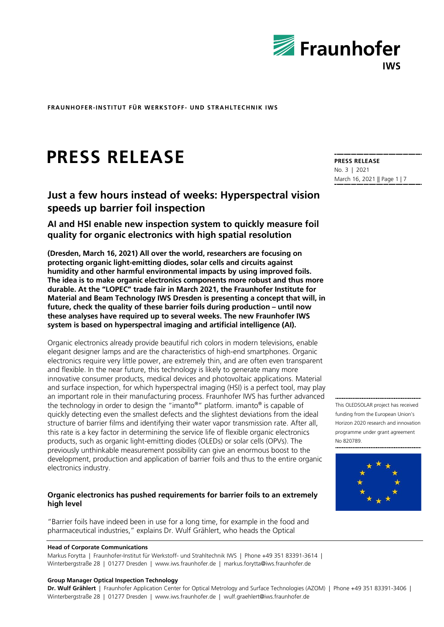

# **PRESS RELEASE**

## **Just a few hours instead of weeks: Hyperspectral vision speeds up barrier foil inspection**

**AI and HSI enable new inspection system to quickly measure foil quality for organic electronics with high spatial resolution**

**(Dresden, March 16, 2021) All over the world, researchers are focusing on protecting organic light-emitting diodes, solar cells and circuits against humidity and other harmful environmental impacts by using improved foils. The idea is to make organic electronics components more robust and thus more durable. At the "LOPEC" trade fair in March 2021, the Fraunhofer Institute for Material and Beam Technology IWS Dresden is presenting a concept that will, in future, check the quality of these barrier foils during production – until now these analyses have required up to several weeks. The new Fraunhofer IWS system is based on hyperspectral imaging and artificial intelligence (AI).**

Organic electronics already provide beautiful rich colors in modern televisions, enable elegant designer lamps and are the characteristics of high-end smartphones. Organic electronics require very little power, are extremely thin, and are often even transparent and flexible. In the near future, this technology is likely to generate many more innovative consumer products, medical devices and photovoltaic applications. Material and surface inspection, for which hyperspectral imaging (HSI) is a perfect tool, may play an important role in their manufacturing process. Fraunhofer IWS has further advanced the technology in order to design the "imanto®" platform. imanto® is capable of quickly detecting even the smallest defects and the slightest deviations from the ideal structure of barrier films and identifying their water vapor transmission rate. After all, this rate is a key factor in determining the service life of flexible organic electronics products, such as organic light-emitting diodes (OLEDs) or solar cells (OPVs). The previously unthinkable measurement possibility can give an enormous boost to the development, production and application of barrier foils and thus to the entire organic electronics industry.

#### **Organic electronics has pushed requirements for barrier foils to an extremely high level**

"Barrier foils have indeed been in use for a long time, for example in the food and pharmaceutical industries," explains Dr. Wulf Grählert, who heads the Optical

#### **Head of Corporate Communications**

Markus Forytta | Fraunhofer-Institut für Werkstoff- und Strahltechnik IWS | Phone +49 351 83391-3614 | Winterbergstraße 28 | 01277 Dresden | www.iws.fraunhofer.de | markus.forytta@iws.fraunhofer.de

#### **Group Manager Optical Inspection Technology**

**Dr. Wulf Grählert** | Fraunhofer Application Center for Optical Metrology and Surface Technologies (AZOM) | Phone +49 351 83391-3406 | Winterbergstraße 28 | 01277 Dresden | www.iws.fraunhofer.de | wulf.graehlert@iws.fraunhofer.de

**PRESS RELEASE** No. 3 | 2021 March 16, 2021 || Page 1 | 7

This OLEDSOLAR project has received funding from the European Union's Horizon 2020 research and innovation programme under grant agreement No 820789.

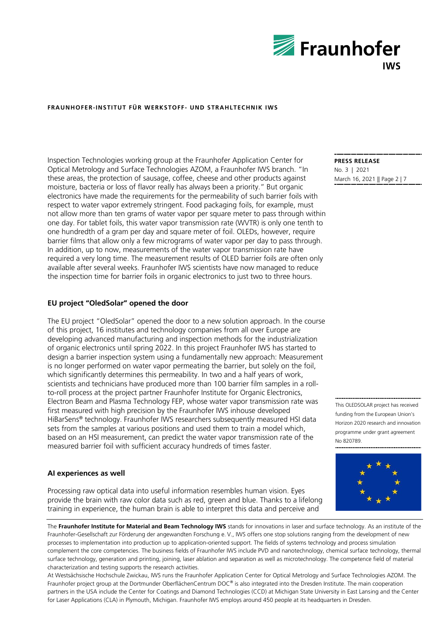

Inspection Technologies working group at the Fraunhofer Application Center for Optical Metrology and Surface Technologies AZOM, a Fraunhofer IWS branch. "In these areas, the protection of sausage, coffee, cheese and other products against moisture, bacteria or loss of flavor really has always been a priority." But organic electronics have made the requirements for the permeability of such barrier foils with respect to water vapor extremely stringent. Food packaging foils, for example, must not allow more than ten grams of water vapor per square meter to pass through within one day. For tablet foils, this water vapor transmission rate (WVTR) is only one tenth to one hundredth of a gram per day and square meter of foil. OLEDs, however, require barrier films that allow only a few micrograms of water vapor per day to pass through. In addition, up to now, measurements of the water vapor transmission rate have required a very long time. The measurement results of OLED barrier foils are often only available after several weeks. Fraunhofer IWS scientists have now managed to reduce the inspection time for barrier foils in organic electronics to just two to three hours.

#### **EU project "OledSolar" opened the door**

The EU project "OledSolar" opened the door to a new solution approach. In the course of this project, 16 institutes and technology companies from all over Europe are developing advanced manufacturing and inspection methods for the industrialization of organic electronics until spring 2022. In this project Fraunhofer IWS has started to design a barrier inspection system using a fundamentally new approach: Measurement is no longer performed on water vapor permeating the barrier, but solely on the foil, which significantly determines this permeability. In two and a half years of work, scientists and technicians have produced more than 100 barrier film samples in a rollto-roll process at the project partner Fraunhofer Institute for Organic Electronics, Electron Beam and Plasma Technology FEP, whose water vapor transmission rate was first measured with high precision by the Fraunhofer IWS inhouse developed HiBarSens® technology. Fraunhofer IWS researchers subsequently measured HSI data sets from the samples at various positions and used them to train a model which, based on an HSI measurement, can predict the water vapor transmission rate of the measured barrier foil with sufficient accuracy hundreds of times faster.

#### **AI experiences as well**

Processing raw optical data into useful information resembles human vision. Eyes provide the brain with raw color data such as red, green and blue. Thanks to a lifelong training in experience, the human brain is able to interpret this data and perceive and

**PRESS RELEASE** No. 3 | 2021 March 16, 2021 || Page 2 | 7

This OLEDSOLAR project has received funding from the European Union's Horizon 2020 research and innovation programme under grant agreement No 820789.



The **Fraunhofer Institute for Material and Beam Technology IWS** stands for innovations in laser and surface technology. As an institute of the Fraunhofer-Gesellschaft zur Förderung der angewandten Forschung e.  V., IWS offers one stop solutions ranging from the development of new processes to implementation into production up to application-oriented support. The fields of systems technology and process simulation complement the core competencies. The business fields of Fraunhofer IWS include PVD and nanotechnology, chemical surface technology, thermal surface technology, generation and printing, joining, laser ablation and separation as well as microtechnology. The competence field of material characterization and testing supports the research activities.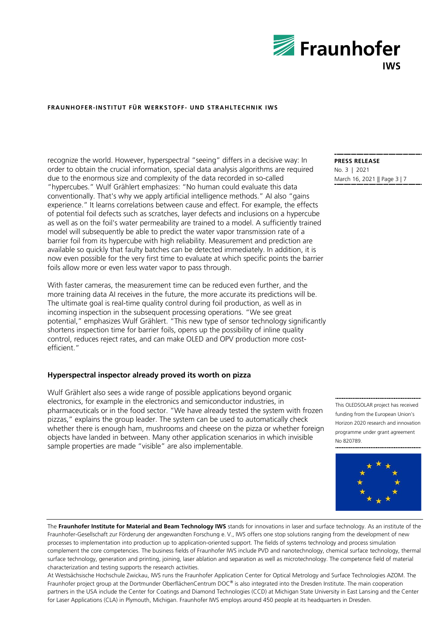

recognize the world. However, hyperspectral "seeing" differs in a decisive way: In order to obtain the crucial information, special data analysis algorithms are required due to the enormous size and complexity of the data recorded in so-called "hypercubes." Wulf Grählert emphasizes: "No human could evaluate this data conventionally. That's why we apply artificial intelligence methods." AI also "gains experience." It learns correlations between cause and effect. For example, the effects of potential foil defects such as scratches, layer defects and inclusions on a hypercube as well as on the foil's water permeability are trained to a model. A sufficiently trained model will subsequently be able to predict the water vapor transmission rate of a barrier foil from its hypercube with high reliability. Measurement and prediction are available so quickly that faulty batches can be detected immediately. In addition, it is now even possible for the very first time to evaluate at which specific points the barrier foils allow more or even less water vapor to pass through.

With faster cameras, the measurement time can be reduced even further, and the more training data AI receives in the future, the more accurate its predictions will be. The ultimate goal is real-time quality control during foil production, as well as in incoming inspection in the subsequent processing operations. "We see great potential," emphasizes Wulf Grählert. "This new type of sensor technology significantly shortens inspection time for barrier foils, opens up the possibility of inline quality control, reduces reject rates, and can make OLED and OPV production more costefficient."

#### **Hyperspectral inspector already proved its worth on pizza**

Wulf Grählert also sees a wide range of possible applications beyond organic electronics, for example in the electronics and semiconductor industries, in pharmaceuticals or in the food sector. "We have already tested the system with frozen pizzas," explains the group leader. The system can be used to automatically check whether there is enough ham, mushrooms and cheese on the pizza or whether foreign objects have landed in between. Many other application scenarios in which invisible sample properties are made "visible" are also implementable.

The **Fraunhofer Institute for Material and Beam Technology IWS** stands for innovations in laser and surface technology. As an institute of the Fraunhofer-Gesellschaft zur Förderung der angewandten Forschung e.  V., IWS offers one stop solutions ranging from the development of new processes to implementation into production up to application-oriented support. The fields of systems technology and process simulation complement the core competencies. The business fields of Fraunhofer IWS include PVD and nanotechnology, chemical surface technology, thermal surface technology, generation and printing, joining, laser ablation and separation as well as microtechnology. The competence field of material characterization and testing supports the research activities.

At Westsächsische Hochschule Zwickau, IWS runs the Fraunhofer Application Center for Optical Metrology and Surface Technologies AZOM. The Fraunhofer project group at the Dortmunder OberflächenCentrum DOC® is also integrated into the Dresden Institute. The main cooperation partners in the USA include the Center for Coatings and Diamond Technologies (CCD) at Michigan State University in East Lansing and the Center for Laser Applications (CLA) in Plymouth, Michigan. Fraunhofer IWS employs around 450 people at its headquarters in Dresden.

**PRESS RELEASE** No. 3 | 2021 March 16, 2021 || Page 3 | 7

This OLEDSOLAR project has received funding from the European Union's Horizon 2020 research and innovation programme under grant agreement No 820789.

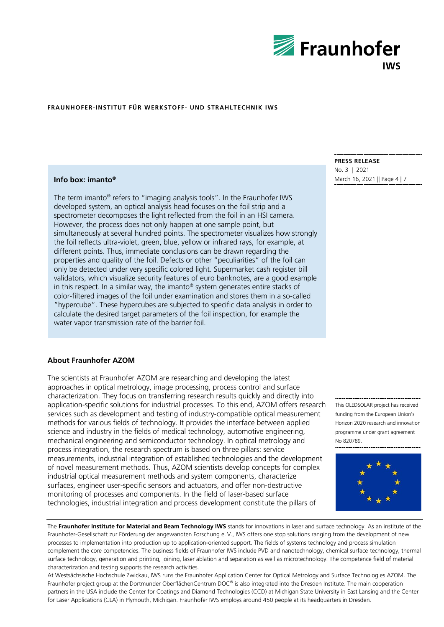

### **Info box: imanto®**

The term imanto® refers to "imaging analysis tools". In the Fraunhofer IWS developed system, an optical analysis head focuses on the foil strip and a spectrometer decomposes the light reflected from the foil in an HSI camera. However, the process does not only happen at one sample point, but simultaneously at several hundred points. The spectrometer visualizes how strongly the foil reflects ultra-violet, green, blue, yellow or infrared rays, for example, at different points. Thus, immediate conclusions can be drawn regarding the properties and quality of the foil. Defects or other "peculiarities" of the foil can only be detected under very specific colored light. Supermarket cash register bill validators, which visualize security features of euro banknotes, are a good example in this respect. In a similar way, the imanto® system generates entire stacks of color-filtered images of the foil under examination and stores them in a so-called "hypercube". These hypercubes are subjected to specific data analysis in order to calculate the desired target parameters of the foil inspection, for example the water vapor transmission rate of the barrier foil.

#### **About Fraunhofer AZOM**

The scientists at Fraunhofer AZOM are researching and developing the latest approaches in optical metrology, image processing, process control and surface characterization. They focus on transferring research results quickly and directly into application-specific solutions for industrial processes. To this end, AZOM offers research services such as development and testing of industry-compatible optical measurement methods for various fields of technology. It provides the interface between applied science and industry in the fields of medical technology, automotive engineering, mechanical engineering and semiconductor technology. In optical metrology and process integration, the research spectrum is based on three pillars: service measurements, industrial integration of established technologies and the development of novel measurement methods. Thus, AZOM scientists develop concepts for complex industrial optical measurement methods and system components, characterize surfaces, engineer user-specific sensors and actuators, and offer non-destructive monitoring of processes and components. In the field of laser-based surface technologies, industrial integration and process development constitute the pillars of

**PRESS RELEASE** No. 3 | 2021 March 16, 2021 || Page 4 | 7

This OLEDSOLAR project has received funding from the European Union's Horizon 2020 research and innovation programme under grant agreement No 820789.



The **Fraunhofer Institute for Material and Beam Technology IWS** stands for innovations in laser and surface technology. As an institute of the Fraunhofer-Gesellschaft zur Förderung der angewandten Forschung e.  V., IWS offers one stop solutions ranging from the development of new processes to implementation into production up to application-oriented support. The fields of systems technology and process simulation complement the core competencies. The business fields of Fraunhofer IWS include PVD and nanotechnology, chemical surface technology, thermal surface technology, generation and printing, joining, laser ablation and separation as well as microtechnology. The competence field of material characterization and testing supports the research activities.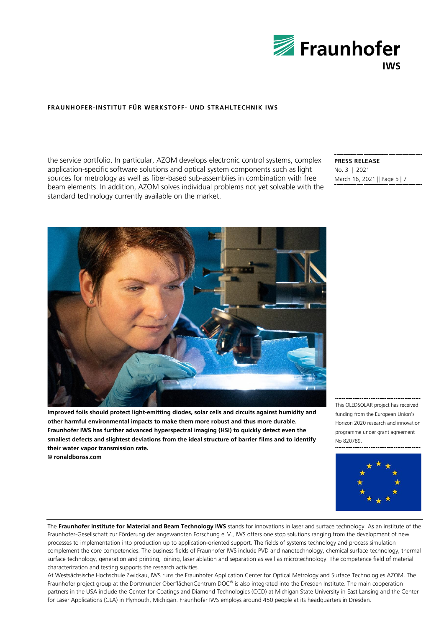

the service portfolio. In particular, AZOM develops electronic control systems, complex application-specific software solutions and optical system components such as light sources for metrology as well as fiber-based sub-assemblies in combination with free beam elements. In addition, AZOM solves individual problems not yet solvable with the standard technology currently available on the market.

#### **PRESS RELEASE** No. 3 | 2021 March 16, 2021 || Page 5 | 7



**Improved foils should protect light-emitting diodes, solar cells and circuits against humidity and other harmful environmental impacts to make them more robust and thus more durable. Fraunhofer IWS has further advanced hyperspectral imaging (HSI) to quickly detect even the smallest defects and slightest deviations from the ideal structure of barrier films and to identify their water vapor transmission rate. © ronaldbonss.com**

This OLEDSOLAR project has received funding from the European Union's Horizon 2020 research and innovation programme under grant agreement No 820789.



The **Fraunhofer Institute for Material and Beam Technology IWS** stands for innovations in laser and surface technology. As an institute of the Fraunhofer-Gesellschaft zur Förderung der angewandten Forschung e.  V., IWS offers one stop solutions ranging from the development of new processes to implementation into production up to application-oriented support. The fields of systems technology and process simulation complement the core competencies. The business fields of Fraunhofer IWS include PVD and nanotechnology, chemical surface technology, thermal surface technology, generation and printing, joining, laser ablation and separation as well as microtechnology. The competence field of material characterization and testing supports the research activities.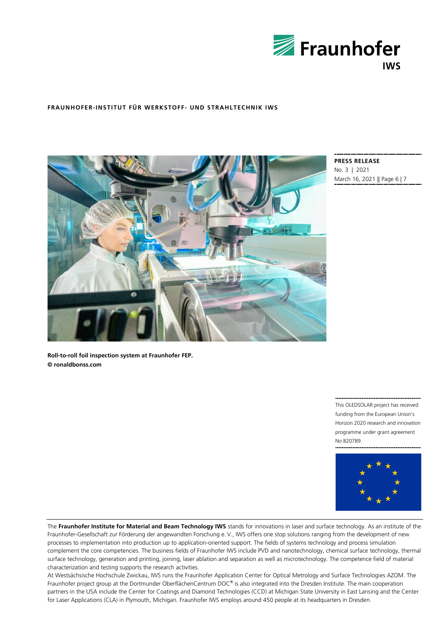



**PRESS RELEASE** No. 3 | 2021 March 16, 2021 || Page 6 | 7

**Roll-to-roll foil inspection system at Fraunhofer FEP. © ronaldbonss.com**

> This OLEDSOLAR project has received funding from the European Union's Horizon 2020 research and innovation programme under grant agreement No 820789.



The **Fraunhofer Institute for Material and Beam Technology IWS** stands for innovations in laser and surface technology. As an institute of the Fraunhofer-Gesellschaft zur Förderung der angewandten Forschung e. V., IWS offers one stop solutions ranging from the development of new processes to implementation into production up to application-oriented support. The fields of systems technology and process simulation complement the core competencies. The business fields of Fraunhofer IWS include PVD and nanotechnology, chemical surface technology, thermal surface technology, generation and printing, joining, laser ablation and separation as well as microtechnology. The competence field of material characterization and testing supports the research activities.